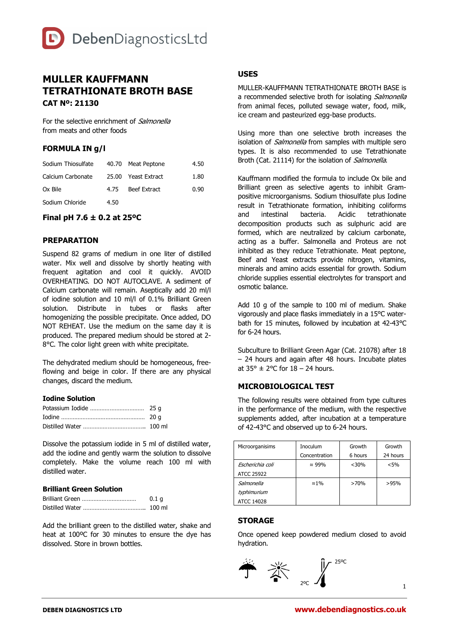

# **MULLER KAUFFMANN TETRATHIONATE BROTH BASE CAT Nº: 21130**

For the selective enrichment of Salmonella from meats and other foods

# **FORMULA IN g/l**

| Sodium Thiosulfate |      | 40.70 Meat Peptone  | 4.50 |
|--------------------|------|---------------------|------|
| Calcium Carbonate  |      | 25.00 Yeast Extract | 1.80 |
| Ox Bile            | 4.75 | Beef Extract        | 0.90 |
| Sodium Chloride    | 4.50 |                     |      |

## **Final pH 7.6 ± 0.2 at 25ºC**

#### **PREPARATION**

Suspend 82 grams of medium in one liter of distilled water. Mix well and dissolve by shortly heating with frequent agitation and cool it quickly. AVOID OVERHEATING. DO NOT AUTOCLAVE. A sediment of Calcium carbonate will remain. Aseptically add 20 ml/l of iodine solution and 10 ml/l of 0.1% Brilliant Green solution. Distribute in tubes or flasks after homogenizing the possible precipitate. Once added, DO NOT REHEAT. Use the medium on the same day it is produced. The prepared medium should be stored at 2- 8°C. The color light green with white precipitate.

The dehydrated medium should be homogeneous, freeflowing and beige in color. If there are any physical changes, discard the medium.

#### **Iodine Solution**

Dissolve the potassium iodide in 5 ml of distilled water, add the iodine and gently warm the solution to dissolve completely. Make the volume reach 100 ml with distilled water.

#### **Brilliant Green Solution**

| 0.1 <sub>a</sub> |
|------------------|
| $100$ ml         |

Add the brilliant green to the distilled water, shake and heat at 100ºC for 30 minutes to ensure the dye has dissolved. Store in brown bottles.

# **USES**

MULLER-KAUFFMANN TETRATHIONATE BROTH BASE is a recommended selective broth for isolating *Salmonella* from animal feces, polluted sewage water, food, milk, ice cream and pasteurized egg-base products.

Using more than one selective broth increases the isolation of *Salmonella* from samples with multiple sero types. It is also recommended to use Tetrathionate Broth (Cat. 21114) for the isolation of Salmonella.

Kauffmann modified the formula to include Ox bile and Brilliant green as selective agents to inhibit Grampositive microorganisms. Sodium thiosulfate plus Iodine result in Tetrathionate formation, inhibiting coliforms and intestinal bacteria. Acidic tetrathionate decomposition products such as sulphuric acid are formed, which are neutralized by calcium carbonate, acting as a buffer. Salmonella and Proteus are not inhibited as they reduce Tetrathionate. Meat peptone, Beef and Yeast extracts provide nitrogen, vitamins, minerals and amino acids essential for growth. Sodium chloride supplies essential electrolytes for transport and osmotic balance.

Add 10 g of the sample to 100 ml of medium. Shake vigorously and place flasks immediately in a 15°C waterbath for 15 minutes, followed by incubation at 42-43°C for 6-24 hours.

Subculture to Brilliant Green Agar (Cat. 21078) after 18 – 24 hours and again after 48 hours. Incubate plates at  $35^\circ \pm 2^\circ$ C for  $18 - 24$  hours.

# **MICROBIOLOGICAL TEST**

The following results were obtained from type cultures in the performance of the medium, with the respective supplements added, after incubation at a temperature of 42-43°C and observed up to 6-24 hours.

| Microorganisims   | Inoculum       | Growth  | Growth   |
|-------------------|----------------|---------|----------|
|                   | Concentration  | 6 hours | 24 hours |
| Escherichia coli  | $\approx 99\%$ | $<$ 30% | < 5%     |
| <b>ATCC 25922</b> |                |         |          |
| Salmonella        | $\approx 1\%$  | >70%    | >95%     |
| typhimurium       |                |         |          |
| <b>ATCC 14028</b> |                |         |          |

#### **STORAGE**

Once opened keep powdered medium closed to avoid hydration.